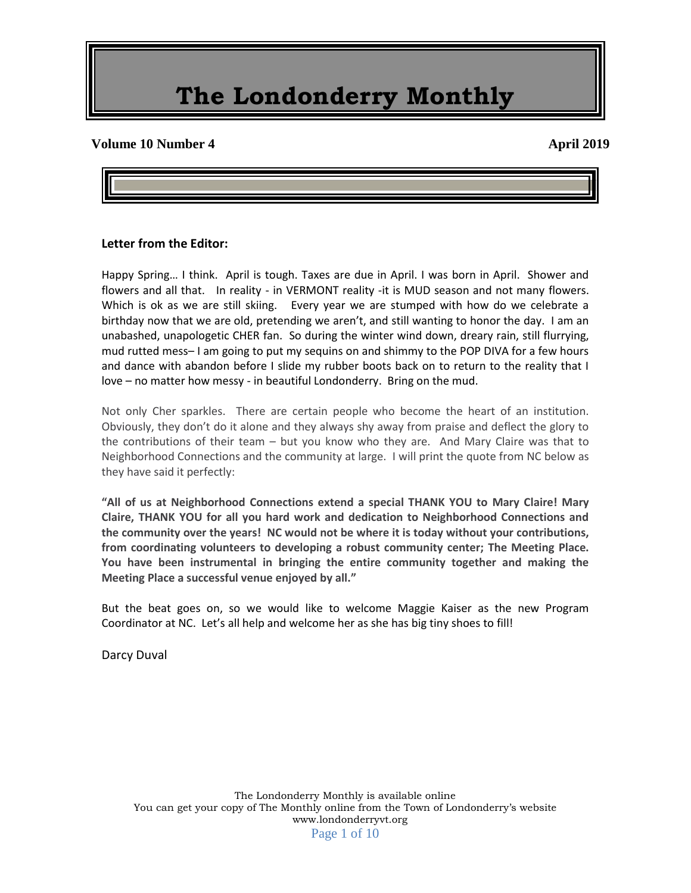#### **Volume 10 Number 4 April 2019**

#### **Letter from the Editor:**

Happy Spring… I think. April is tough. Taxes are due in April. I was born in April. Shower and flowers and all that. In reality - in VERMONT reality -it is MUD season and not many flowers. Which is ok as we are still skiing. Every year we are stumped with how do we celebrate a birthday now that we are old, pretending we aren't, and still wanting to honor the day. I am an unabashed, unapologetic CHER fan. So during the winter wind down, dreary rain, still flurrying, mud rutted mess– I am going to put my sequins on and shimmy to the POP DIVA for a few hours and dance with abandon before I slide my rubber boots back on to return to the reality that I love – no matter how messy - in beautiful Londonderry. Bring on the mud.

Not only Cher sparkles. There are certain people who become the heart of an institution. Obviously, they don't do it alone and they always shy away from praise and deflect the glory to the contributions of their team – but you know who they are. And Mary Claire was that to Neighborhood Connections and the community at large. I will print the quote from NC below as they have said it perfectly:

**"All of us at Neighborhood Connections extend a special THANK YOU to Mary Claire! Mary Claire, THANK YOU for all you hard work and dedication to Neighborhood Connections and the community over the years! NC would not be where it is today without your contributions, from coordinating volunteers to developing a robust community center; The Meeting Place. You have been instrumental in bringing the entire community together and making the Meeting Place a successful venue enjoyed by all."**

But the beat goes on, so we would like to welcome Maggie Kaiser as the new Program Coordinator at NC. Let's all help and welcome her as she has big tiny shoes to fill!

Darcy Duval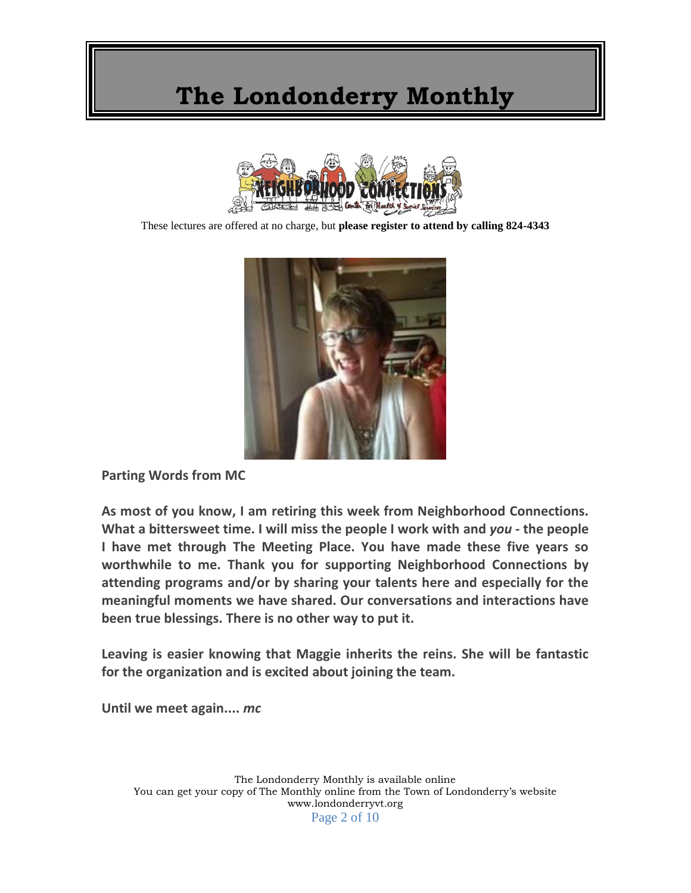

These lectures are offered at no charge, but **please register to attend by calling 824-4343**



**Parting Words from MC**

**As most of you know, I am retiring this week from Neighborhood Connections. What a bittersweet time. I will miss the people I work with and** *you* **- the people I have met through The Meeting Place. You have made these five years so worthwhile to me. Thank you for supporting Neighborhood Connections by attending programs and/or by sharing your talents here and especially for the meaningful moments we have shared. Our conversations and interactions have been true blessings. There is no other way to put it.**

**Leaving is easier knowing that Maggie inherits the reins. She will be fantastic for the organization and is excited about joining the team.**

**Until we meet again....** *mc*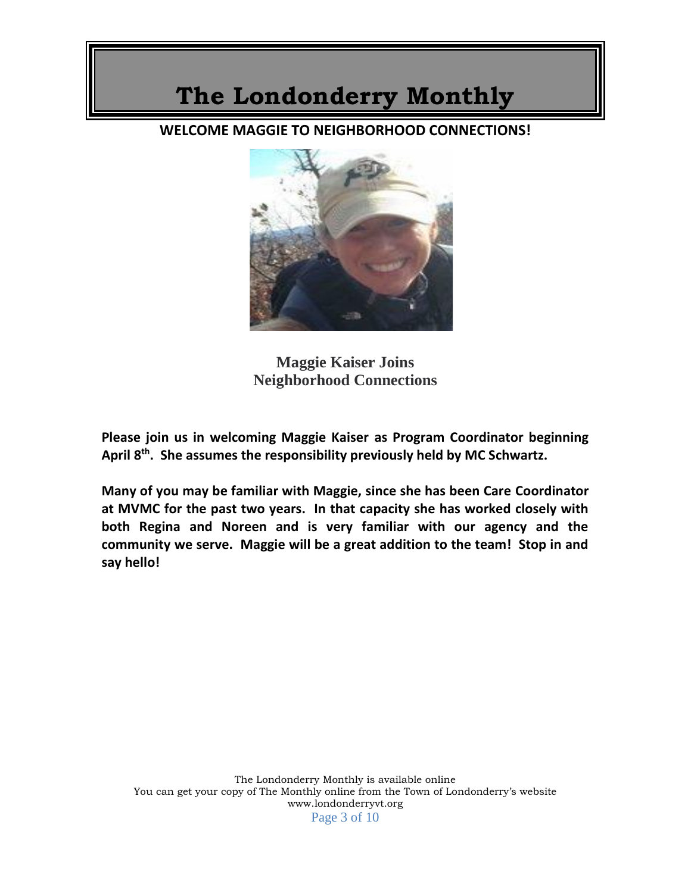### **WELCOME MAGGIE TO NEIGHBORHOOD CONNECTIONS!**



**Maggie Kaiser Joins Neighborhood Connections**

**Please join us in welcoming Maggie Kaiser as Program Coordinator beginning April 8th. She assumes the responsibility previously held by MC Schwartz.**

**Many of you may be familiar with Maggie, since she has been Care Coordinator at MVMC for the past two years. In that capacity she has worked closely with both Regina and Noreen and is very familiar with our agency and the community we serve. Maggie will be a great addition to the team! Stop in and say hello!**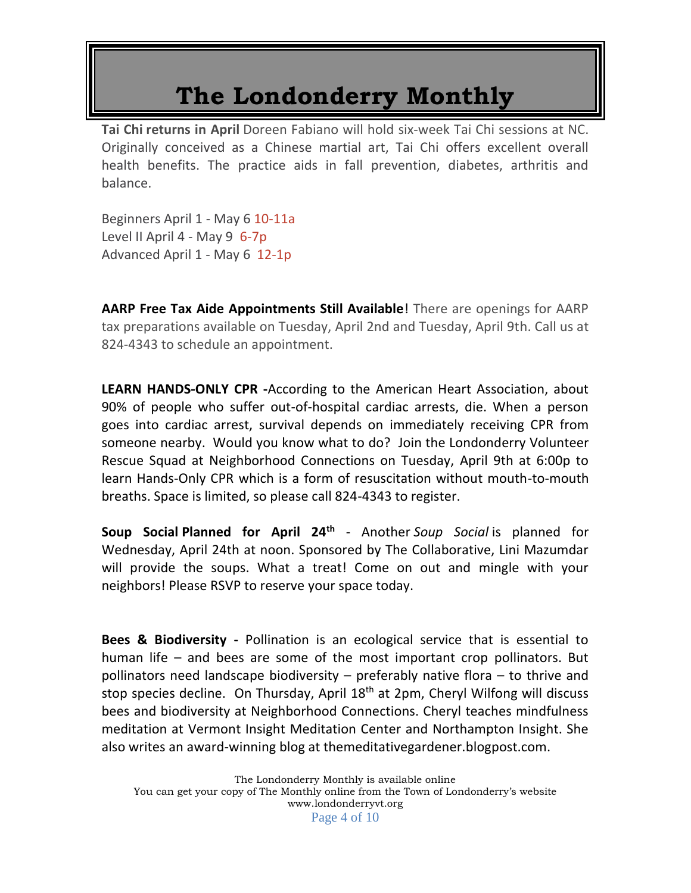**Tai Chi returns in April** Doreen Fabiano will hold six-week Tai Chi sessions at NC. Originally conceived as a Chinese martial art, Tai Chi offers excellent overall health benefits. The practice aids in fall prevention, diabetes, arthritis and balance.

Beginners April 1 - May 6 10-11a Level II April 4 - May 9 6-7p Advanced April 1 - May 6 12-1p

**AARP Free Tax Aide Appointments Still Available**! There are openings for AARP tax preparations available on Tuesday, April 2nd and Tuesday, April 9th. Call us at 824-4343 to schedule an appointment.

**LEARN HANDS-ONLY CPR -**According to the American Heart Association, about 90% of people who suffer out-of-hospital cardiac arrests, die. When a person goes into cardiac arrest, survival depends on immediately receiving CPR from someone nearby. Would you know what to do?Join the Londonderry Volunteer Rescue Squad at Neighborhood Connections on Tuesday, April 9th at 6:00p to learn Hands-Only CPR which is a form of resuscitation without mouth-to-mouth breaths. Space is limited, so please call 824-4343 to register.

**Soup Social Planned for April 24th** - Another *Soup Social* is planned for Wednesday, April 24th at noon. Sponsored by The Collaborative, Lini Mazumdar will provide the soups. What a treat! Come on out and mingle with your neighbors! Please RSVP to reserve your space today.

**Bees & Biodiversity -** Pollination is an ecological service that is essential to human life – and bees are some of the most important crop pollinators. But pollinators need landscape biodiversity – preferably native flora – to thrive and stop species decline.On Thursday, April 18th at 2pm, Cheryl Wilfong will discuss bees and biodiversity at Neighborhood Connections. Cheryl teaches mindfulness meditation at Vermont Insight Meditation Center and Northampton Insight. She also writes an award-winning blog at themeditativegardener.blogpost.com.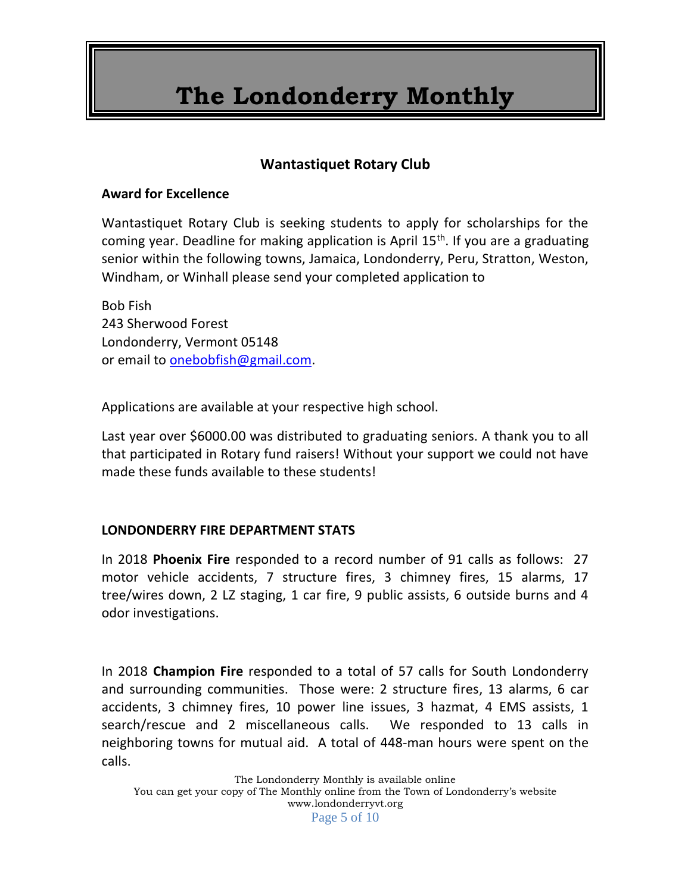### **Wantastiquet Rotary Club**

#### **Award for Excellence**

Wantastiquet Rotary Club is seeking students to apply for scholarships for the coming year. Deadline for making application is April  $15<sup>th</sup>$ . If you are a graduating senior within the following towns, Jamaica, Londonderry, Peru, Stratton, Weston, Windham, or Winhall please send your completed application to

Bob Fish 243 Sherwood Forest Londonderry, Vermont 05148 or email to [onebobfish@gmail.com.](mailto:onebobfish@gmail.com)

Applications are available at your respective high school.

Last year over \$6000.00 was distributed to graduating seniors. A thank you to all that participated in Rotary fund raisers! Without your support we could not have made these funds available to these students!

#### **LONDONDERRY FIRE DEPARTMENT STATS**

In 2018 **Phoenix Fire** responded to a record number of 91 calls as follows: 27 motor vehicle accidents, 7 structure fires, 3 chimney fires, 15 alarms, 17 tree/wires down, 2 LZ staging, 1 car fire, 9 public assists, 6 outside burns and 4 odor investigations.

In 2018 **Champion Fire** responded to a total of 57 calls for South Londonderry and surrounding communities. Those were: 2 structure fires, 13 alarms, 6 car accidents, 3 chimney fires, 10 power line issues, 3 hazmat, 4 EMS assists, 1 search/rescue and 2 miscellaneous calls. We responded to 13 calls in neighboring towns for mutual aid. A total of 448-man hours were spent on the calls.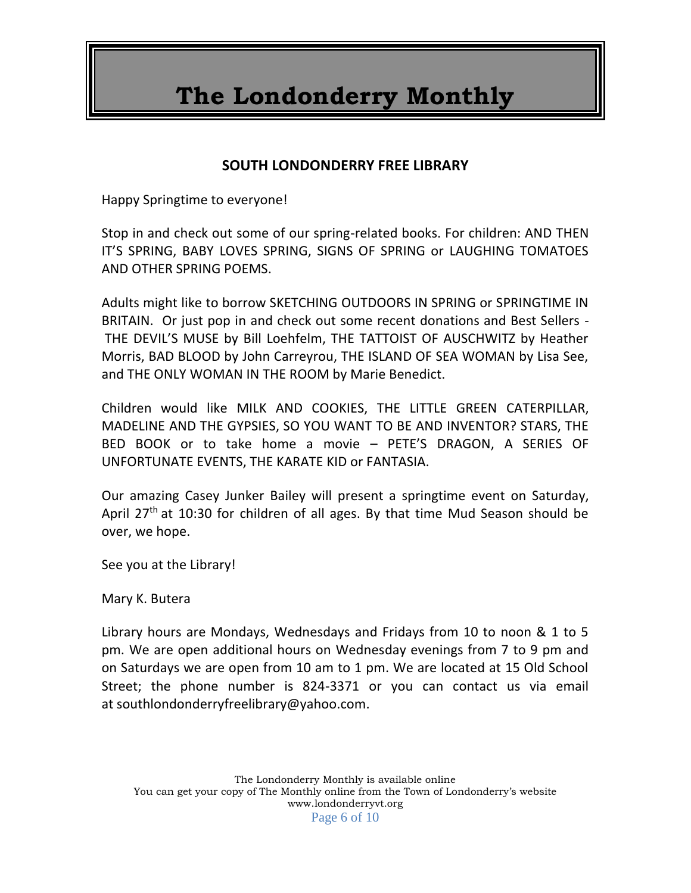#### **SOUTH LONDONDERRY FREE LIBRARY**

Happy Springtime to everyone!

Stop in and check out some of our spring-related books. For children: AND THEN IT'S SPRING, BABY LOVES SPRING, SIGNS OF SPRING or LAUGHING TOMATOES AND OTHER SPRING POEMS.

Adults might like to borrow SKETCHING OUTDOORS IN SPRING or SPRINGTIME IN BRITAIN. Or just pop in and check out some recent donations and Best Sellers - THE DEVIL'S MUSE by Bill Loehfelm, THE TATTOIST OF AUSCHWITZ by Heather Morris, BAD BLOOD by John Carreyrou, THE ISLAND OF SEA WOMAN by Lisa See, and THE ONLY WOMAN IN THE ROOM by Marie Benedict.

Children would like MILK AND COOKIES, THE LITTLE GREEN CATERPILLAR, MADELINE AND THE GYPSIES, SO YOU WANT TO BE AND INVENTOR? STARS, THE BED BOOK or to take home a movie – PETE'S DRAGON, A SERIES OF UNFORTUNATE EVENTS, THE KARATE KID or FANTASIA.

Our amazing Casey Junker Bailey will present a springtime event on Saturday, April 27<sup>th</sup> at 10:30 for children of all ages. By that time Mud Season should be over, we hope.

See you at the Library!

Mary K. Butera

Library hours are Mondays, Wednesdays and Fridays from 10 to noon & 1 to 5 pm. We are open additional hours on Wednesday evenings from 7 to 9 pm and on Saturdays we are open from 10 am to 1 pm. We are located at 15 Old School Street; the phone number is 824-3371 or you can contact us via email at southlondonderryfreelibrary@yahoo.com.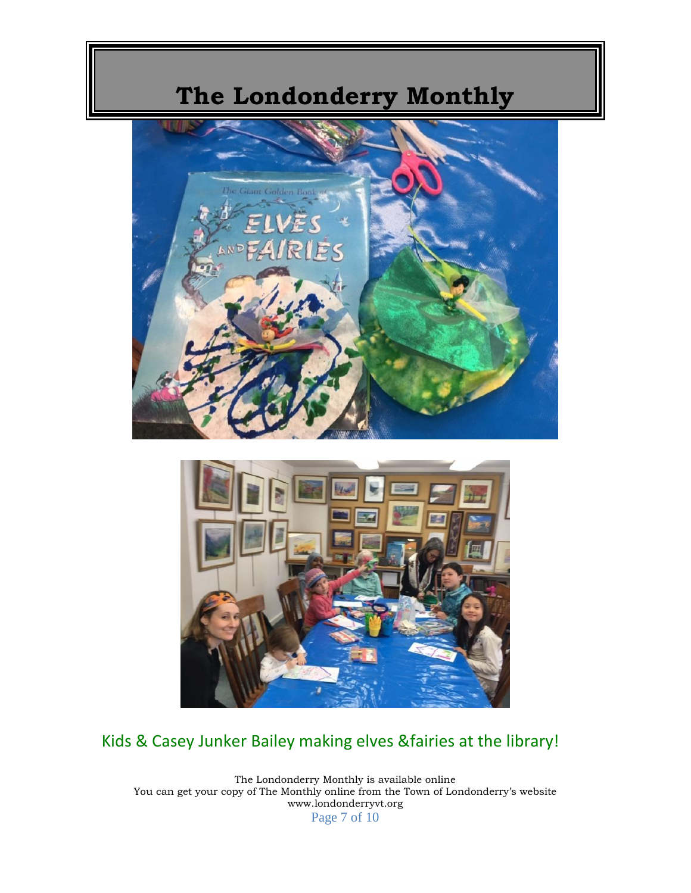



### Kids & Casey Junker Bailey making elves &fairies at the library!

The Londonderry Monthly is available online You can get your copy of The Monthly online from the Town of Londonderry's website www.londonderryvt.org Page 7 of 10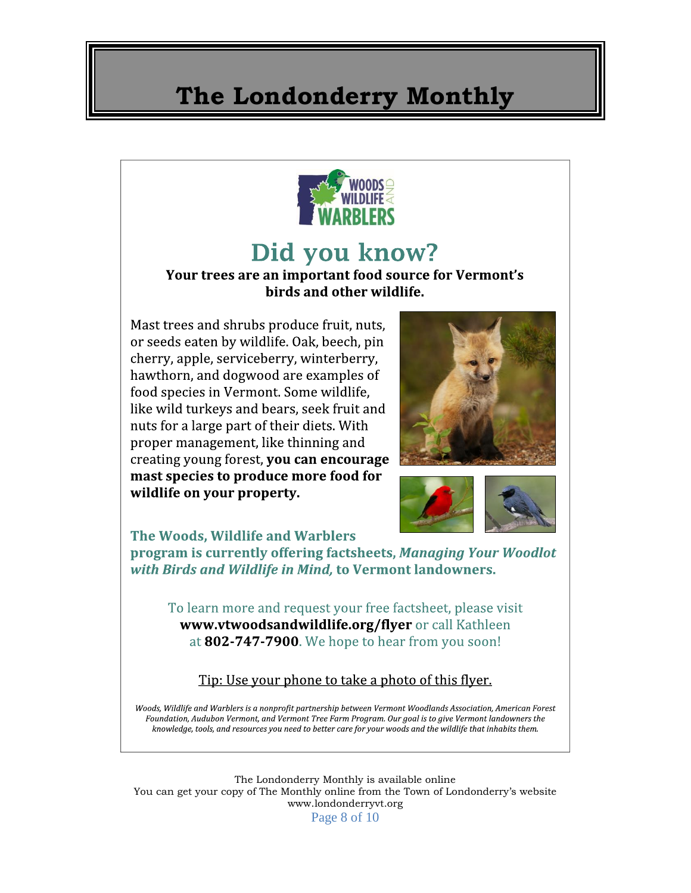

### Did you know?

#### Your trees are an important food source for Vermont's birds and other wildlife.

Mast trees and shrubs produce fruit, nuts, or seeds eaten by wildlife. Oak, beech, pin cherry, apple, serviceberry, winterberry, hawthorn, and dogwood are examples of food species in Vermont. Some wildlife, like wild turkeys and bears, seek fruit and nuts for a large part of their diets. With proper management, like thinning and creating young forest, you can encourage mast species to produce more food for wildlife on your property.





The Woods. Wildlife and Warblers

program is currently offering factsheets, Managing Your Woodlot with Birds and Wildlife in Mind, to Vermont landowners.

To learn more and request your free factsheet, please visit www.vtwoodsandwildlife.org/flyer or call Kathleen at 802-747-7900. We hope to hear from you soon!

#### Tip: Use your phone to take a photo of this flyer.

Woods, Wildlife and Warblers is a nonprofit partnership between Vermont Woodlands Association, American Forest Foundation, Audubon Vermont, and Vermont Tree Farm Program. Our goal is to give Vermont landowners the knowledge, tools, and resources you need to better care for your woods and the wildlife that inhabits them.

The Londonderry Monthly is available online You can get your copy of The Monthly online from the Town of Londonderry's website www.londonderryvt.org Page 8 of 10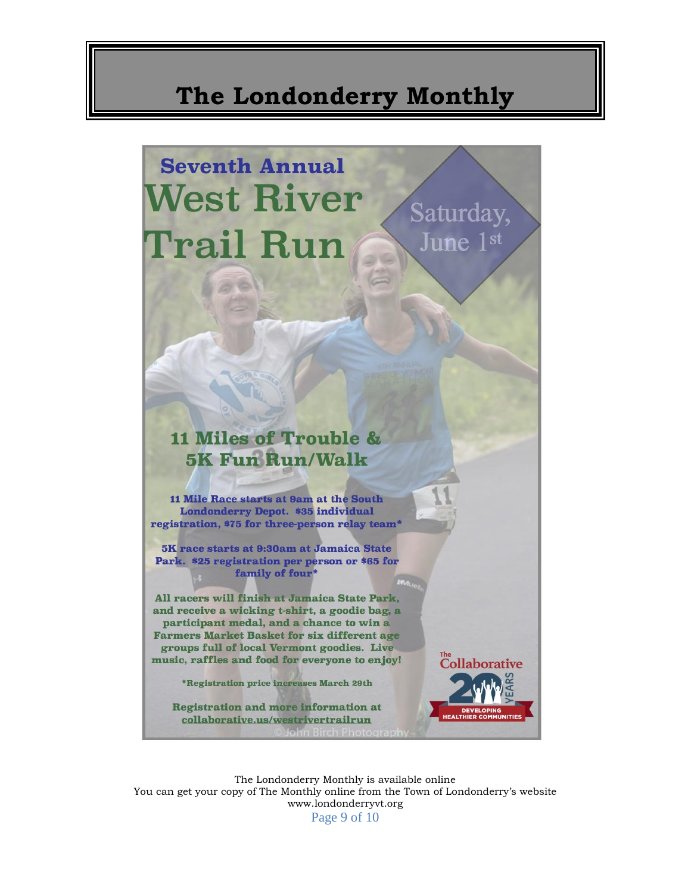### **Seventh Annual West River** Saturday, Trail Run June 1st

### **11 Miles of Trouble & 5K Fun Run/Walk**

11 Mile Race starts at 9am at the South Londonderry Depot. \$35 individual registration, \$75 for three-person relay team\*

5K race starts at 9:30am at Jamaica State Park. \$25 registration per person or \$65 for family of four\*

All racers will finish at Jamaica State Park, and receive a wicking t-shirt, a goodie bag, a participant medal, and a chance to win a **Farmers Market Basket for six different age** groups full of local Vermont goodies. Live music, raffles and food for everyone to enjoy!

\*Registration price increases March 29th

**Registration and more information at** collaborative.us/westrivertrailrun

The Londonderry Monthly is available online You can get your copy of The Monthly online from the Town of Londonderry's website www.londonderryvt.org Page 9 of 10

Collaborative